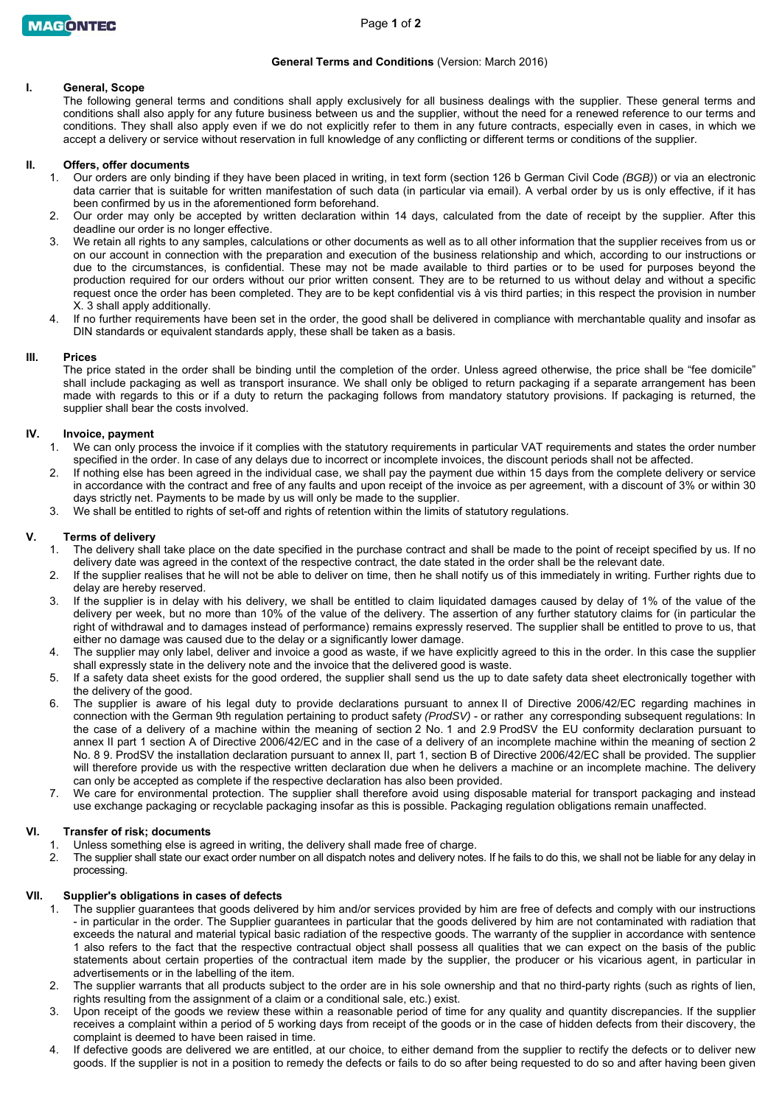# **General Terms and Conditions** (Version: March 2016)

# **I. General, Scope**

The following general terms and conditions shall apply exclusively for all business dealings with the supplier. These general terms and conditions shall also apply for any future business between us and the supplier, without the need for a renewed reference to our terms and conditions. They shall also apply even if we do not explicitly refer to them in any future contracts, especially even in cases, in which we accept a delivery or service without reservation in full knowledge of any conflicting or different terms or conditions of the supplier.

## **II. Offers, offer documents**

- 1. Our orders are only binding if they have been placed in writing, in text form (section 126 b German Civil Code *(BGB)*) or via an electronic data carrier that is suitable for written manifestation of such data (in particular via email). A verbal order by us is only effective, if it has been confirmed by us in the aforementioned form beforehand.
- 2. Our order may only be accepted by written declaration within 14 days, calculated from the date of receipt by the supplier. After this deadline our order is no longer effective.
- 3. We retain all rights to any samples, calculations or other documents as well as to all other information that the supplier receives from us or on our account in connection with the preparation and execution of the business relationship and which, according to our instructions or due to the circumstances, is confidential. These may not be made available to third parties or to be used for purposes beyond the production required for our orders without our prior written consent. They are to be returned to us without delay and without a specific request once the order has been completed. They are to be kept confidential vis à vis third parties; in this respect the provision in number X. 3 shall apply additionally.
- If no further requirements have been set in the order, the good shall be delivered in compliance with merchantable quality and insofar as DIN standards or equivalent standards apply, these shall be taken as a basis.

## **III. Prices**

The price stated in the order shall be binding until the completion of the order. Unless agreed otherwise, the price shall be "fee domicile" shall include packaging as well as transport insurance. We shall only be obliged to return packaging if a separate arrangement has been made with regards to this or if a duty to return the packaging follows from mandatory statutory provisions. If packaging is returned, the supplier shall bear the costs involved.

## **IV. Invoice, payment**

- 1. We can only process the invoice if it complies with the statutory requirements in particular VAT requirements and states the order number specified in the order. In case of any delays due to incorrect or incomplete invoices, the discount periods shall not be affected.
- 2. If nothing else has been agreed in the individual case, we shall pay the payment due within 15 days from the complete delivery or service in accordance with the contract and free of any faults and upon receipt of the invoice as per agreement, with a discount of 3% or within 30 days strictly net. Payments to be made by us will only be made to the supplier.
- 3. We shall be entitled to rights of set-off and rights of retention within the limits of statutory regulations.

## **V. Terms of delivery**

- 1. The delivery shall take place on the date specified in the purchase contract and shall be made to the point of receipt specified by us. If no delivery date was agreed in the context of the respective contract, the date stated in the order shall be the relevant date.
- 2. If the supplier realises that he will not be able to deliver on time, then he shall notify us of this immediately in writing. Further rights due to delay are hereby reserved.
- 3. If the supplier is in delay with his delivery, we shall be entitled to claim liquidated damages caused by delay of 1% of the value of the delivery per week, but no more than 10% of the value of the delivery. The assertion of any further statutory claims for (in particular the right of withdrawal and to damages instead of performance) remains expressly reserved. The supplier shall be entitled to prove to us, that either no damage was caused due to the delay or a significantly lower damage.
- 4. The supplier may only label, deliver and invoice a good as waste, if we have explicitly agreed to this in the order. In this case the supplier shall expressly state in the delivery note and the invoice that the delivered good is waste.
- 5. If a safety data sheet exists for the good ordered, the supplier shall send us the up to date safety data sheet electronically together with the delivery of the good.
- 6. The supplier is aware of his legal duty to provide declarations pursuant to annex II of Directive 2006/42/EC regarding machines in connection with the German 9th regulation pertaining to product safety *(ProdSV)* - or rather any corresponding subsequent regulations: In the case of a delivery of a machine within the meaning of section 2 No. 1 and 2.9 ProdSV the EU conformity declaration pursuant to annex II part 1 section A of Directive 2006/42/EC and in the case of a delivery of an incomplete machine within the meaning of section 2 No. 8 9. ProdSV the installation declaration pursuant to annex II, part 1, section B of Directive 2006/42/EC shall be provided. The supplier will therefore provide us with the respective written declaration due when he delivers a machine or an incomplete machine. The delivery can only be accepted as complete if the respective declaration has also been provided.
- 7. We care for environmental protection. The supplier shall therefore avoid using disposable material for transport packaging and instead use exchange packaging or recyclable packaging insofar as this is possible. Packaging regulation obligations remain unaffected.

### **VI. Transfer of risk; documents**

- 1. Unless something else is agreed in writing, the delivery shall made free of charge.
- 2. The supplier shall state our exact order number on all dispatch notes and delivery notes. If he fails to do this, we shall not be liable for any delay in processing.

# **VII. Supplier's obligations in cases of defects**

- 1. The supplier guarantees that goods delivered by him and/or services provided by him are free of defects and comply with our instructions - in particular in the order. The Supplier guarantees in particular that the goods delivered by him are not contaminated with radiation that exceeds the natural and material typical basic radiation of the respective goods. The warranty of the supplier in accordance with sentence 1 also refers to the fact that the respective contractual object shall possess all qualities that we can expect on the basis of the public statements about certain properties of the contractual item made by the supplier, the producer or his vicarious agent, in particular in advertisements or in the labelling of the item.
- 2. The supplier warrants that all products subject to the order are in his sole ownership and that no third-party rights (such as rights of lien, rights resulting from the assignment of a claim or a conditional sale, etc.) exist.
- 3. Upon receipt of the goods we review these within a reasonable period of time for any quality and quantity discrepancies. If the supplier receives a complaint within a period of 5 working days from receipt of the goods or in the case of hidden defects from their discovery, the complaint is deemed to have been raised in time.
- 4. If defective goods are delivered we are entitled, at our choice, to either demand from the supplier to rectify the defects or to deliver new goods. If the supplier is not in a position to remedy the defects or fails to do so after being requested to do so and after having been given